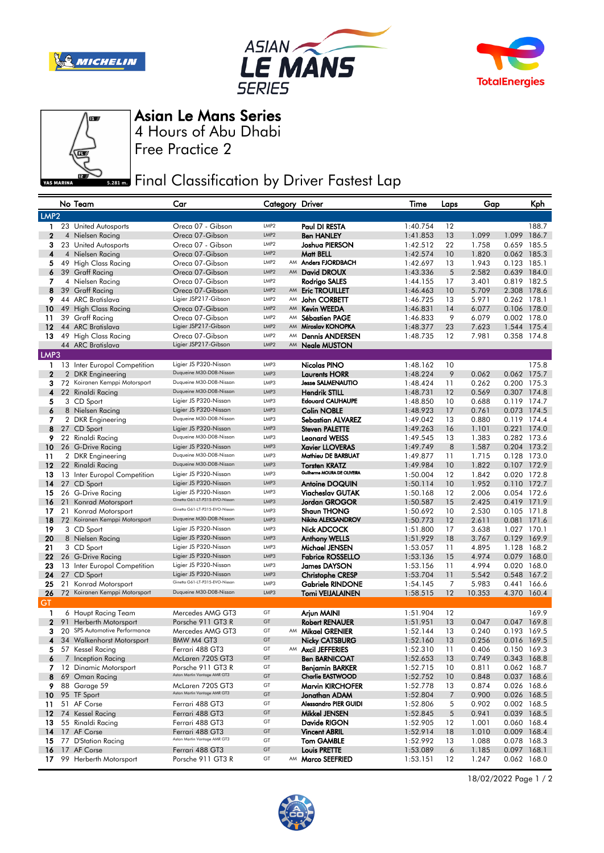







Asian Le Mans Series

Free Practice 2 4 Hours of Abu Dhabi

**Final Classification by Driver Fastest Lap** 

|                  |    | No Team                                       | Car                                                     | Category Driver          |    |                                                     | Time                 | Laps           | Gap            |                            | Kph   |
|------------------|----|-----------------------------------------------|---------------------------------------------------------|--------------------------|----|-----------------------------------------------------|----------------------|----------------|----------------|----------------------------|-------|
| LMP <sub>2</sub> |    |                                               |                                                         |                          |    |                                                     |                      |                |                |                            |       |
| 1                |    | 23 United Autosports                          | Oreca 07 - Gibson                                       | LMP <sub>2</sub>         |    | Paul DI RESTA                                       | 1:40.754             | 12             |                |                            | 188.7 |
| 2                |    | 4 Nielsen Racing                              | Oreca 07-Gibson                                         | LMP <sub>2</sub>         |    | <b>Ben HANLEY</b>                                   | 1:41.853             | 13             | 1.099          | 1.099 186.7                |       |
| 3                |    | 23 United Autosports                          | Oreca 07 - Gibson                                       | LMP <sub>2</sub>         |    | Joshua PIERSON                                      | 1:42.512             | 22             | 1.758          | 0.659 185.5                |       |
| 4                |    | 4 Nielsen Racing                              | Oreca 07-Gibson                                         | LMP <sub>2</sub>         |    | Matt BELL                                           | 1:42.574             | 10             | 1.820          | 0.062 185.3                |       |
| 5                |    | 49 High Class Racing                          | Oreca 07-Gibson                                         | LMP <sub>2</sub>         |    | AM Anders FJORDBACH                                 | 1:42.697             | 13             | 1.943          | 0.123 185.1                |       |
| 6                |    | 39 Graff Racing                               | Oreca 07-Gibson                                         | LMP <sub>2</sub>         |    | AM David DROUX                                      | 1:43.336             | 5              | 2.582          | 0.639 184.0                |       |
| 7                |    | 4 Nielsen Racing                              | Oreca 07-Gibson                                         | LMP <sub>2</sub>         |    | Rodrigo SALES                                       | 1:44.155             | 17             | 3.401          | 0.819 182.5                |       |
| 8                |    | 39 Graff Racing                               | Oreca 07-Gibson<br>Ligier JSP217-Gibson                 | LMP2<br>LMP <sub>2</sub> |    | AM Eric TROUILLET                                   | 1:46.463             | 10             | 5.709          | 2.308 178.6                |       |
| 9                |    | 44 ARC Bratislava<br>49 High Class Racing     |                                                         | LMP2                     | AM | John CORBETT<br>AM Kevin WEEDA                      | 1:46.725             | 13             | 5.971          | 0.262 178.1                |       |
| 10<br>11         |    | 39 Graff Racing                               | Oreca 07-Gibson<br>Oreca 07-Gibson                      | LMP2                     | AM | Sébastien PAGE                                      | 1:46.831<br>1:46.833 | 14<br>9        | 6.077<br>6.079 | 0.106 178.0<br>0.002 178.0 |       |
| 12               |    | 44 ARC Bratislava                             | Ligier JSP217-Gibson                                    | LMP <sub>2</sub>         |    | AM Miroslav KONOPKA                                 | 1:48.377             | 23             | 7.623          | 1.544 175.4                |       |
| 13               |    | 49 High Class Racing                          | Oreca 07-Gibson                                         | LMP2                     | AM | <b>Dennis ANDERSEN</b>                              | 1:48.735             | 12             | 7.981          | 0.358 174.8                |       |
|                  |    | 44 ARC Bratislava                             | Ligier JSP217-Gibson                                    | LMP <sub>2</sub>         |    | AM Neale MUSTON                                     |                      |                |                |                            |       |
| LMP3             |    |                                               |                                                         |                          |    |                                                     |                      |                |                |                            |       |
| 1                |    | 13 Inter Europol Competition                  | Ligier JS P320-Nissan                                   | LMP3                     |    | Nicolas PINO                                        | 1:48.162             | 10             |                |                            | 175.8 |
| 2                |    | 2 DKR Engineering                             | Duqueine M30-D08-Nissan                                 | LMP3                     |    | <b>Laurents HORR</b>                                | 1:48.224             | 9              | 0.062          | 0.062 175.7                |       |
| 3                |    | 72 Koiranen Kemppi Motorsport                 | Duqueine M30-D08-Nissan                                 | LMP3                     |    | <b>Jesse SALMENAUTIO</b>                            | 1:48.424             | 11             | 0.262          | 0.200 175.3                |       |
| 4                |    | 22 Rinaldi Racing                             | Duqueine M30-D08-Nissan                                 | LMP3                     |    | <b>Hendrik STILL</b>                                | 1:48.731             | 12             | 0.569          | 0.307 174.8                |       |
| 5                |    | 3 CD Sport                                    | Ligier JS P320-Nissan                                   | LMP3                     |    | <b>Edouard CAUHAUPE</b>                             | 1:48.850             | 10             | 0.688          | 0.119 174.7                |       |
| 6                |    | 8 Nielsen Racing                              | Ligier JS P320-Nissan                                   | LMP3                     |    | <b>Colin NOBLE</b>                                  | 1:48.923             | 17             | 0.761          | 0.073 174.5                |       |
| 7                |    | 2 DKR Engineering                             | Duqueine M30-D08-Nissan                                 | LMP3                     |    | <b>Sebastian ALVAREZ</b>                            | 1:49.042             | 13             | 0.880          | 0.119 174.4                |       |
| 8                |    | 27 CD Sport                                   | Ligier JS P320-Nissan                                   | LMP3                     |    | <b>Steven PALETTE</b>                               | 1:49.263             | 16             | 1.101          | 0.221 174.0                |       |
| 9                |    | 22 Rinaldi Racing                             | Duqueine M30-D08-Nissan                                 | LMP3                     |    | <b>Leonard WEISS</b>                                | 1:49.545             | 13             | 1.383          | 0.282 173.6                |       |
| 10 <sup>°</sup>  |    | 26 G-Drive Racing                             | Ligier JS P320-Nissan<br>Duqueine M30-D08-Nissan        | LMP3                     |    | <b>Xavier LLOVERAS</b>                              | 1:49.749             | 8              | 1.587          | 0.204 173.2                |       |
| 11               |    | 2 DKR Engineering                             | Duqueine M30-D08-Nissan                                 | LMP3<br>LMP3             |    | Mathieu DE BARBUAT                                  | 1:49.877             | 11             | 1.715          | 0.128 173.0                |       |
| $12 \,$<br>13    |    | 22 Rinaldi Racing                             | Ligier JS P320-Nissan                                   | LMP3                     |    | <b>Torsten KRATZ</b><br>Guilherme MOURA DE OLIVEIRA | 1:49.984<br>1:50.004 | 10<br>12       | 1.822<br>1.842 | 0.107 172.9<br>0.020 172.8 |       |
| 14               |    | 13 Inter Europol Competition<br>27 CD Sport   | Ligier JS P320-Nissan                                   | LMP3                     |    | <b>Antoine DOQUIN</b>                               | 1:50.114             | 10             | 1.952          | 0.110 172.7                |       |
| 15               |    | 26 G-Drive Racing                             | Ligier JS P320-Nissan                                   | LMP3                     |    | Viacheslav GUTAK                                    | 1:50.168             | 12             | 2.006          | 0.054 172.6                |       |
| 16               | 21 | Konrad Motorsport                             | Ginetta G61-LT-P315-EVO-Nissan                          | LMP3                     |    | Jordan GROGOR                                       | 1:50.587             | 15             | 2.425          | 0.419 171.9                |       |
| 17               |    | 21 Konrad Motorsport                          | Ginetta G61-LT-P315-EVO-Nissan                          | LMP3                     |    | <b>Shaun THONG</b>                                  | 1:50.692             | 10             | 2.530          | 0.105 171.8                |       |
| 18               |    | 72 Koiranen Kemppi Motorsport                 | Duqueine M30-D08-Nissan                                 | LMP3                     |    | Nikita ALEKSANDROV                                  | 1:50.773             | 12             | 2.611          | 0.081 171.6                |       |
| 19               |    | 3 CD Sport                                    | Ligier JS P320-Nissan                                   | LMP3                     |    | Nick ADCOCK                                         | 1:51.800             | 17             | 3.638          | 1.027 170.1                |       |
| 20               |    | 8 Nielsen Racing                              | Ligier JS P320-Nissan                                   | LMP3                     |    | <b>Anthony WELLS</b>                                | 1:51.929             | 18             | 3.767          | 0.129 169.9                |       |
| 21               |    | 3 CD Sport                                    | Ligier JS P320-Nissan                                   | LMP3                     |    | Michael JENSEN                                      | 1:53.057             | 11             | 4.895          | 1.128 168.2                |       |
| 22               |    | 26 G-Drive Racing                             | Ligier JS P320-Nissan                                   | LMP3                     |    | <b>Fabrice ROSSELLO</b>                             | 1:53.136             | 15             | 4.974          | 0.079 168.0                |       |
| 23               |    | 13 Inter Europol Competition                  | Ligier JS P320-Nissan                                   | LMP3                     |    | James DAYSON                                        | 1:53.156             | 11             | 4.994          | 0.020 168.0                |       |
| 24               |    | 27 CD Sport                                   | Ligier JS P320-Nissan<br>Ginetta G61-LT-P315-EVO-Nissan | LMP3                     |    | <b>Christophe CRESP</b>                             | 1:53.704             | 11             | 5.542          | 0.548 167.2                |       |
| 25               | 21 | Konrad Motorsport                             | Duqueine M30-D08-Nissan                                 | LMP3<br>LMP3             |    | Gabriele RINDONE                                    | 1:54.145             | 7              | 5.983          | 0.441 166.6                |       |
| 26<br>GT         |    | 72 Koiranen Kemppi Motorsport                 |                                                         |                          |    | <b>Tomi VEIJALAINEN</b>                             | 1:58.515             | 12             | 10.353         | 4.370 160.4                |       |
|                  |    |                                               |                                                         | GT                       |    |                                                     |                      |                |                |                            |       |
| 1<br>2           |    | 6 Haupt Racing Team<br>91 Herberth Motorsport | Mercedes AMG GT3<br>Porsche 911 GT3 R                   | GT                       |    | Arjun MAINI<br>Robert RENAUER                       | 1:51.904<br>1:51.951 | 12<br>13       | 0.047          | 0.047 169.8                | 169.9 |
| з                |    | 20 SPS Automotive Performance                 | Mercedes AMG GT3                                        | GT                       |    | AM Mikael GRENIER                                   | 1:52.144             | 13             | 0.240          | 0.193 169.5                |       |
| 4                |    | 34 Walkenhorst Motorsport                     | BMW M4 GT3                                              | GT                       |    | <b>Nicky CATSBURG</b>                               | 1:52.160             | 13             | 0.256          | 0.016 169.5                |       |
| 5.               |    | 57 Kessel Racing                              | Ferrari 488 GT3                                         | GT                       |    | AM Axcil JEFFERIES                                  | 1:52.310             | 11             | 0.406          | 0.150 169.3                |       |
| 6                |    | 7 Inception Racing                            | McLaren 720S GT3                                        | GT                       |    | <b>Ben BARNICOAT</b>                                | 1:52.653             | 13             | 0.749          | 0.343 168.8                |       |
| 7                |    | 12 Dinamic Motorsport                         | Porsche 911 GT3 R                                       | GT                       |    | Benjamin BARKER                                     | 1:52.715             | 10             | 0.811          | 0.062 168.7                |       |
| 8                |    | 69 Oman Racing                                | Aston Martin Vantage AMR GT3                            | GT                       |    | <b>Charlie EASTWOOD</b>                             | 1:52.752             | 10             | 0.848          | 0.037 168.6                |       |
| 9                |    | 88 Garage 59                                  | McLaren 720S GT3                                        | GT                       |    | Marvin KIRCHOFER                                    | 1:52.778             | 13             | 0.874          | 0.026 168.6                |       |
| 10               |    | 95 TF Sport                                   | Aston Martin Vantage AMR GT3                            | GT                       |    | Jonathan ADAM                                       | 1:52.804             | $\overline{7}$ | 0.900          | 0.026 168.5                |       |
| 11               |    | 51 AF Corse                                   | Ferrari 488 GT3                                         | GT                       |    | Alessandro PIER GUIDI                               | 1:52.806             | 5              | 0.902          | 0.002 168.5                |       |
| $12 \,$          |    | 74 Kessel Racing                              | Ferrari 488 GT3                                         | GT                       |    | Mikkel JENSEN                                       | 1:52.845             | 5              | 0.941          | 0.039 168.5                |       |
| 13               |    | 55 Rinaldi Racing                             | Ferrari 488 GT3                                         | GT                       |    | Davide RIGON                                        | 1:52.905             | 12             | 1.001          | 0.060 168.4                |       |
| 14               |    | 17 AF Corse                                   | Ferrari 488 GT3<br>Aston Martin Vantage AMR GT3         | GT<br>GT                 |    | <b>Vincent ABRIL</b>                                | 1:52.914             | 18             | 1.010          | 0.009 168.4                |       |
| 15<br>16         |    | 77 D'Station Racing<br>17 AF Corse            | Ferrari 488 GT3                                         | GT                       |    | Tom GAMBLE<br>Louis PRETTE                          | 1:52.992<br>1:53.089 | 13<br>6        | 1.088          | 0.078 168.3<br>0.097 168.1 |       |
| 17               |    | 99 Herberth Motorsport                        | Porsche 911 GT3 R                                       | GT                       |    | AM Marco SEEFRIED                                   | 1:53.151             | 12             | 1.185<br>1.247 | 0.062 168.0                |       |
|                  |    |                                               |                                                         |                          |    |                                                     |                      |                |                |                            |       |



18/02/2022 Page 1 / 2